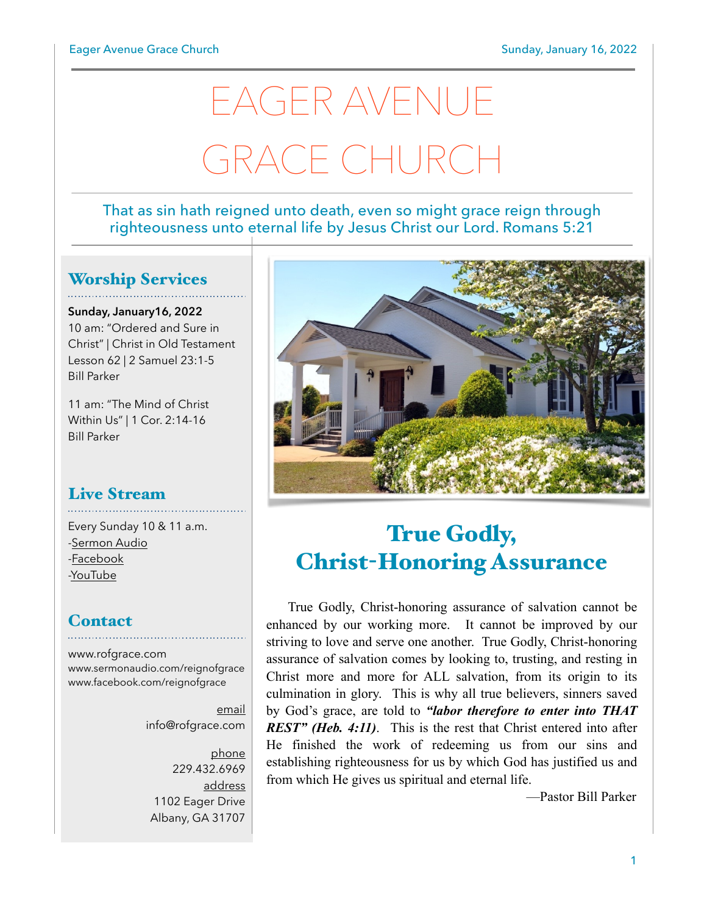# EAGER AVENUE GRACE CHURCH

#### That as sin hath reigned unto death, even so might grace reign through righteousness unto eternal life by Jesus Christ our Lord. Romans 5:21

#### Worship Services

**Sunday, January16, 2022** 10 am: "Ordered and Sure in Christ" | Christ in Old Testament Lesson 62 | 2 Samuel 23:1-5 Bill Parker

11 am: "The Mind of Christ Within Us" | 1 Cor. 2:14-16 Bill Parker

# Live Stream

Every Sunday 10 & 11 a.m. [-Sermon Audio](http://sermonaudio.com/reignofgrace) [-Facebook](http://facebook.com/eageravechurch) [-YouTube](http://youtube.com/channel/UCu_lTHCIUOK0cka9AjFV_5Q/live)

#### **Contact**

[www.rofgrace.com](http://www.rofgrace.com) [www.sermonaudio.com/reignofgrace](http://www.sermonaudio.com/reignofgrace) [www.facebook.com/reignofgrace](http://www.facebook.com/reignofgrace)

> email [info@rofgrace.com](mailto:info@rofgrace.com?subject=)

phone 229.432.6969 address 1102 Eager Drive Albany, GA 31707



## True Godly, Christ-Honoring Assurance

 True Godly, Christ-honoring assurance of salvation cannot be enhanced by our working more. It cannot be improved by our striving to love and serve one another. True Godly, Christ-honoring assurance of salvation comes by looking to, trusting, and resting in Christ more and more for ALL salvation, from its origin to its culmination in glory. This is why all true believers, sinners saved by God's grace, are told to *"labor therefore to enter into THAT REST" (Heb. 4:11)*. This is the rest that Christ entered into after He finished the work of redeeming us from our sins and establishing righteousness for us by which God has justified us and from which He gives us spiritual and eternal life.

—Pastor Bill Parker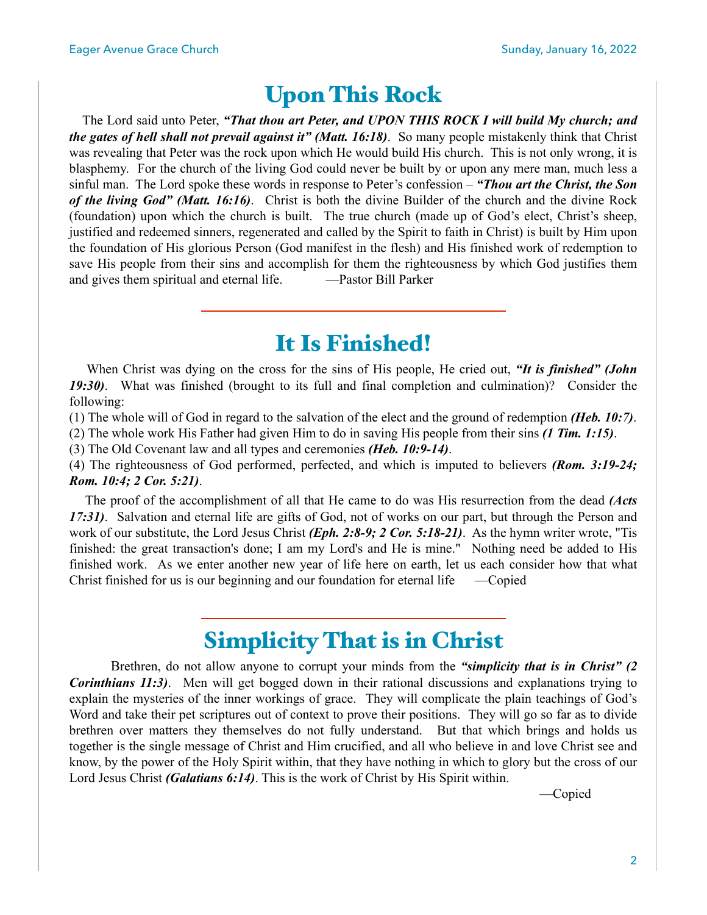## Upon This Rock

 The Lord said unto Peter, *"That thou art Peter, and UPON THIS ROCK I will build My church; and the gates of hell shall not prevail against it" (Matt. 16:18)*. So many people mistakenly think that Christ was revealing that Peter was the rock upon which He would build His church. This is not only wrong, it is blasphemy. For the church of the living God could never be built by or upon any mere man, much less a sinful man. The Lord spoke these words in response to Peter's confession – *"Thou art the Christ, the Son of the living God" (Matt. 16:16)*. Christ is both the divine Builder of the church and the divine Rock (foundation) upon which the church is built. The true church (made up of God's elect, Christ's sheep, justified and redeemed sinners, regenerated and called by the Spirit to faith in Christ) is built by Him upon the foundation of His glorious Person (God manifest in the flesh) and His finished work of redemption to save His people from their sins and accomplish for them the righteousness by which God justifies them and gives them spiritual and eternal life. —Pastor Bill Parker

## It Is Finished!

 When Christ was dying on the cross for the sins of His people, He cried out, *"It is finished" (John 19:30)*. What was finished (brought to its full and final completion and culmination)? Consider the following:

(1) The whole will of God in regard to the salvation of the elect and the ground of redemption *(Heb. 10:7)*.

(2) The whole work His Father had given Him to do in saving His people from their sins *(1 Tim. 1:15)*.

(3) The Old Covenant law and all types and ceremonies *(Heb. 10:9-14)*.

(4) The righteousness of God performed, perfected, and which is imputed to believers *(Rom. 3:19-24; Rom. 10:4; 2 Cor. 5:21)*.

 The proof of the accomplishment of all that He came to do was His resurrection from the dead *(Acts 17:31)*. Salvation and eternal life are gifts of God, not of works on our part, but through the Person and work of our substitute, the Lord Jesus Christ *(Eph. 2:8-9; 2 Cor. 5:18-21)*. As the hymn writer wrote, "Tis finished: the great transaction's done; I am my Lord's and He is mine." Nothing need be added to His finished work. As we enter another new year of life here on earth, let us each consider how that what Christ finished for us is our beginning and our foundation for eternal life —Copied

## Simplicity That is in Christ

 Brethren, do not allow anyone to corrupt your minds from the *"simplicity that is in Christ" (2 Corinthians 11:3)*. Men will get bogged down in their rational discussions and explanations trying to explain the mysteries of the inner workings of grace. They will complicate the plain teachings of God's Word and take their pet scriptures out of context to prove their positions. They will go so far as to divide brethren over matters they themselves do not fully understand. But that which brings and holds us together is the single message of Christ and Him crucified, and all who believe in and love Christ see and know, by the power of the Holy Spirit within, that they have nothing in which to glory but the cross of our Lord Jesus Christ *(Galatians 6:14)*. This is the work of Christ by His Spirit within.

—Copied